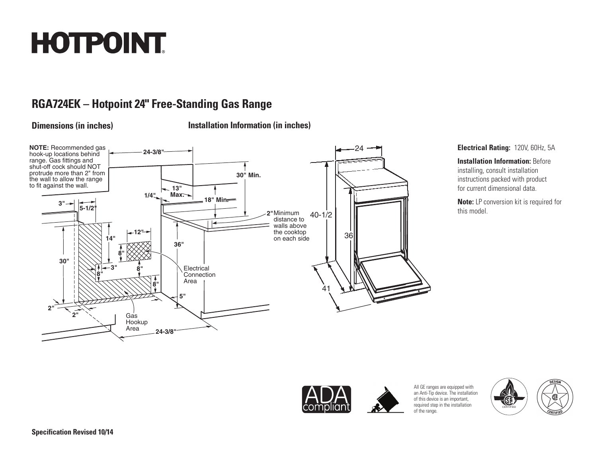# **HOTPOINT**

# **RGA724EK – Hotpoint 24" Free-Standing Gas Range**

**Dimensions (in inches) Installation Information (in inches)**



#### **Electrical Rating:** 120V, 60Hz, 5A

**Installation Information: Before** installing, consult installation instructions packed with product for current dimensional data.

**Note:** LP conversion kit is required for this model.



All GE ranges are equipped with an Anti-Tip device. The installation of this device is an important, required step in the installation of the range.